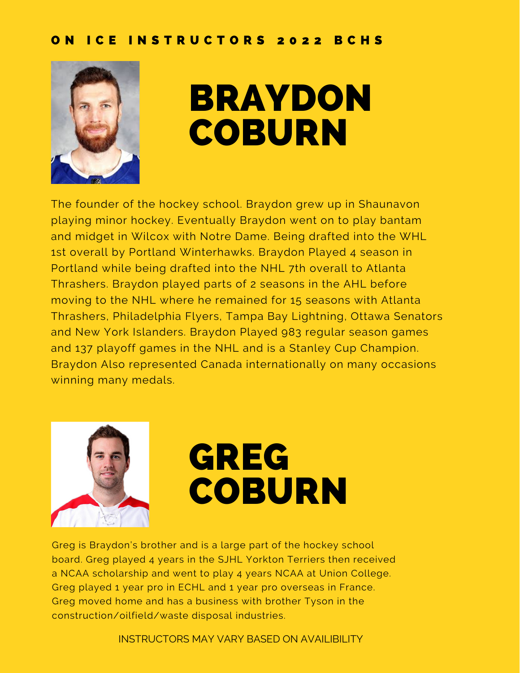

### BRAYDON **COBURN**

The founder of the hockey school. Braydon grew up in Shaunavon playing minor hockey. Eventually Braydon went on to play bantam and midget in Wilcox with Notre Dame. Being drafted into the WHL 1st overall by Portland Winterhawks. Braydon Played 4 season in Portland while being drafted into the NHL 7th overall to Atlanta Thrashers. Braydon played parts of 2 seasons in the AHL before moving to the NHL where he remained for 15 seasons with Atlanta Thrashers, Philadelphia Flyers, Tampa Bay Lightning, Ottawa Senators and New York Islanders. Braydon Played 983 regular season games and 137 playoff games in the NHL and is a Stanley Cup Champion. Braydon Also represented Canada internationally on many occasions winning many medals.



# GREG **COBURN**

Greg is Braydon's brother and is a large part of the hockey school board. Greg played 4 years in the SJHL Yorkton Terriers then received a NCAA scholarship and went to play 4 years NCAA at Union College. Greg played 1 year pro in ECHL and 1 year pro overseas in France. Greg moved home and has a business with brother Tyson in the construction/oilfield/waste disposal industries.

INSTRUCTORS MAY VARY BASED ON AVAILIBILITY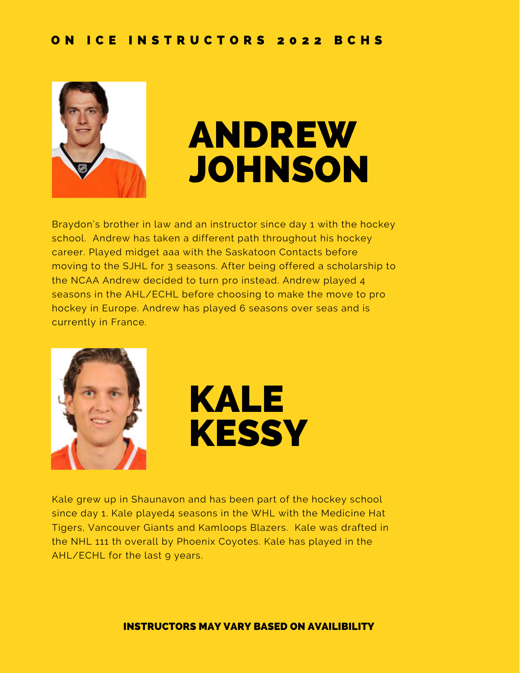

## ANDREW JOHNSON

Braydon's brother in law and an instructor since day 1 with the hockey school. Andrew has taken a different path throughout his hockey career. Played midget aaa with the Saskatoon Contacts before moving to the SJHL for 3 seasons. After being offered a scholarship to the NCAA Andrew decided to turn pro instead. Andrew played 4 seasons in the AHL/ECHL before choosing to make the move to pro hockey in Europe. Andrew has played 6 seasons over seas and is currently in France.





Kale grew up in Shaunavon and has been part of the hockey school since day 1. Kale played4 seasons in the WHL with the Medicine Hat Tigers, Vancouver Giants and Kamloops Blazers. Kale was drafted in the NHL 111 th overall by Phoenix Coyotes. Kale has played in the AHL/ECHL for the last 9 years.

#### INSTRUCTORS MAY VARY BASED ON AVAILIBILITY